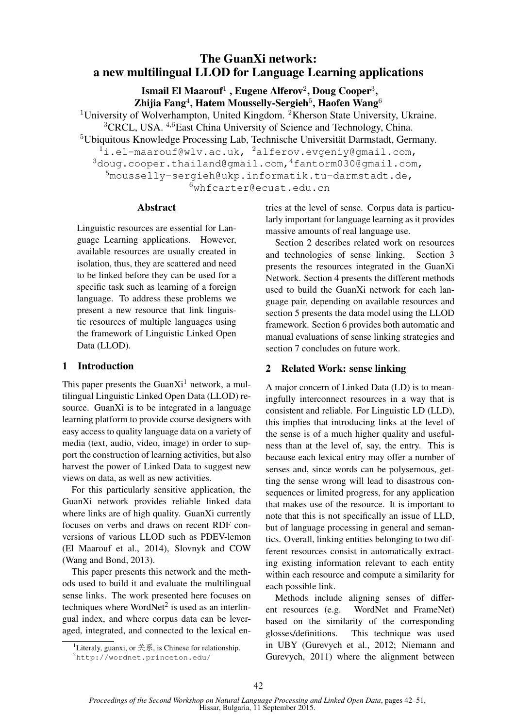# The GuanXi network: a new multilingual LLOD for Language Learning applications

Ismail El Maarouf<sup>1</sup>, Eugene Alferov<sup>2</sup>, Doug Cooper<sup>3</sup>,

Zhijia Fang $^4$ , Hatem Mousselly-Sergieh $^5$ , Haofen Wang $^6$ 

<sup>1</sup>University of Wolverhampton, United Kingdom. <sup>2</sup>Kherson State University, Ukraine.

<sup>3</sup>CRCL, USA. <sup>4,6</sup>East China University of Science and Technology, China.

<sup>5</sup>Ubiquitous Knowledge Processing Lab, Technische Universität Darmstadt, Germany.

 $1$ i.el-maarouf@wlv.ac.uk,  $2$ alferov.evgeniy@gmail.com,

 $3$ doug.cooper.thailand@gmail.com, $4$ fantorm030@gmail.com,

 $5$ mousselly-sergieh@ukp.informatik.tu-darmstadt.de,

 $6$ whfcarter@ecust.edu.cn

## Abstract

Linguistic resources are essential for Language Learning applications. However, available resources are usually created in isolation, thus, they are scattered and need to be linked before they can be used for a specific task such as learning of a foreign language. To address these problems we present a new resource that link linguistic resources of multiple languages using the framework of Linguistic Linked Open Data (LLOD).

# 1 Introduction

This paper presents the Guan $Xi<sup>1</sup>$  network, a multilingual Linguistic Linked Open Data (LLOD) resource. GuanXi is to be integrated in a language learning platform to provide course designers with easy access to quality language data on a variety of media (text, audio, video, image) in order to support the construction of learning activities, but also harvest the power of Linked Data to suggest new views on data, as well as new activities.

For this particularly sensitive application, the GuanXi network provides reliable linked data where links are of high quality. GuanXi currently focuses on verbs and draws on recent RDF conversions of various LLOD such as PDEV-lemon (El Maarouf et al., 2014), Slovnyk and COW (Wang and Bond, 2013).

This paper presents this network and the methods used to build it and evaluate the multilingual sense links. The work presented here focuses on techniques where WordNet<sup>2</sup> is used as an interlingual index, and where corpus data can be leveraged, integrated, and connected to the lexical entries at the level of sense. Corpus data is particularly important for language learning as it provides massive amounts of real language use.

Section 2 describes related work on resources and technologies of sense linking. Section 3 presents the resources integrated in the GuanXi Network. Section 4 presents the different methods used to build the GuanXi network for each language pair, depending on available resources and section 5 presents the data model using the LLOD framework. Section 6 provides both automatic and manual evaluations of sense linking strategies and section 7 concludes on future work.

# 2 Related Work: sense linking

A major concern of Linked Data (LD) is to meaningfully interconnect resources in a way that is consistent and reliable. For Linguistic LD (LLD), this implies that introducing links at the level of the sense is of a much higher quality and usefulness than at the level of, say, the entry. This is because each lexical entry may offer a number of senses and, since words can be polysemous, getting the sense wrong will lead to disastrous consequences or limited progress, for any application that makes use of the resource. It is important to note that this is not specifically an issue of LLD, but of language processing in general and semantics. Overall, linking entities belonging to two different resources consist in automatically extracting existing information relevant to each entity within each resource and compute a similarity for each possible link.

Methods include aligning senses of different resources (e.g. WordNet and FrameNet) based on the similarity of the corresponding glosses/definitions. This technique was used in UBY (Gurevych et al., 2012; Niemann and Gurevych, 2011) where the alignment between

<sup>&</sup>lt;sup>1</sup>Literaly, guanxi, or  $\sharp$ 系, is Chinese for relationship.

<sup>2</sup>http://wordnet.princeton.edu/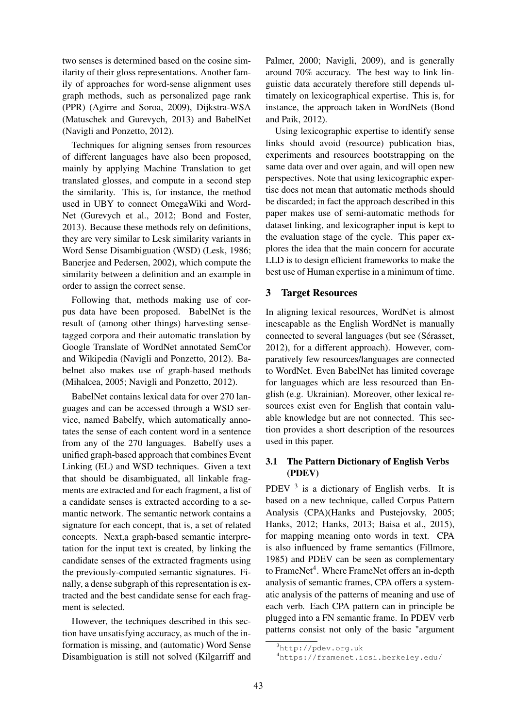two senses is determined based on the cosine similarity of their gloss representations. Another family of approaches for word-sense alignment uses graph methods, such as personalized page rank (PPR) (Agirre and Soroa, 2009), Dijkstra-WSA (Matuschek and Gurevych, 2013) and BabelNet (Navigli and Ponzetto, 2012).

Techniques for aligning senses from resources of different languages have also been proposed, mainly by applying Machine Translation to get translated glosses, and compute in a second step the similarity. This is, for instance, the method used in UBY to connect OmegaWiki and Word-Net (Gurevych et al., 2012; Bond and Foster, 2013). Because these methods rely on definitions, they are very similar to Lesk similarity variants in Word Sense Disambiguation (WSD) (Lesk, 1986; Banerjee and Pedersen, 2002), which compute the similarity between a definition and an example in order to assign the correct sense.

Following that, methods making use of corpus data have been proposed. BabelNet is the result of (among other things) harvesting sensetagged corpora and their automatic translation by Google Translate of WordNet annotated SemCor and Wikipedia (Navigli and Ponzetto, 2012). Babelnet also makes use of graph-based methods (Mihalcea, 2005; Navigli and Ponzetto, 2012).

BabelNet contains lexical data for over 270 languages and can be accessed through a WSD service, named Babelfy, which automatically annotates the sense of each content word in a sentence from any of the 270 languages. Babelfy uses a unified graph-based approach that combines Event Linking (EL) and WSD techniques. Given a text that should be disambiguated, all linkable fragments are extracted and for each fragment, a list of a candidate senses is extracted according to a semantic network. The semantic network contains a signature for each concept, that is, a set of related concepts. Next,a graph-based semantic interpretation for the input text is created, by linking the candidate senses of the extracted fragments using the previously-computed semantic signatures. Finally, a dense subgraph of this representation is extracted and the best candidate sense for each fragment is selected.

However, the techniques described in this section have unsatisfying accuracy, as much of the information is missing, and (automatic) Word Sense Disambiguation is still not solved (Kilgarriff and

Palmer, 2000; Navigli, 2009), and is generally around 70% accuracy. The best way to link linguistic data accurately therefore still depends ultimately on lexicographical expertise. This is, for instance, the approach taken in WordNets (Bond and Paik, 2012).

Using lexicographic expertise to identify sense links should avoid (resource) publication bias, experiments and resources bootstrapping on the same data over and over again, and will open new perspectives. Note that using lexicographic expertise does not mean that automatic methods should be discarded; in fact the approach described in this paper makes use of semi-automatic methods for dataset linking, and lexicographer input is kept to the evaluation stage of the cycle. This paper explores the idea that the main concern for accurate LLD is to design efficient frameworks to make the best use of Human expertise in a minimum of time.

## 3 Target Resources

In aligning lexical resources, WordNet is almost inescapable as the English WordNet is manually connected to several languages (but see (Sérasset, 2012), for a different approach). However, comparatively few resources/languages are connected to WordNet. Even BabelNet has limited coverage for languages which are less resourced than English (e.g. Ukrainian). Moreover, other lexical resources exist even for English that contain valuable knowledge but are not connected. This section provides a short description of the resources used in this paper.

## 3.1 The Pattern Dictionary of English Verbs (PDEV)

PDEV  $3$  is a dictionary of English verbs. It is based on a new technique, called Corpus Pattern Analysis (CPA)(Hanks and Pustejovsky, 2005; Hanks, 2012; Hanks, 2013; Baisa et al., 2015), for mapping meaning onto words in text. CPA is also influenced by frame semantics (Fillmore, 1985) and PDEV can be seen as complementary to FrameNet<sup>4</sup>. Where FrameNet offers an in-depth analysis of semantic frames, CPA offers a systematic analysis of the patterns of meaning and use of each verb. Each CPA pattern can in principle be plugged into a FN semantic frame. In PDEV verb patterns consist not only of the basic "argument

 $3$ http://pdev.org.uk

<sup>4</sup>https://framenet.icsi.berkeley.edu/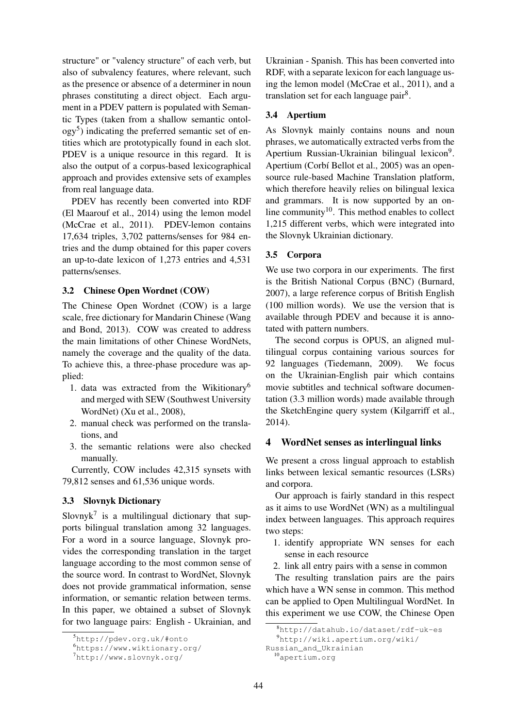structure" or "valency structure" of each verb, but also of subvalency features, where relevant, such as the presence or absence of a determiner in noun phrases constituting a direct object. Each argument in a PDEV pattern is populated with Semantic Types (taken from a shallow semantic ontology<sup>5</sup>) indicating the preferred semantic set of entities which are prototypically found in each slot. PDEV is a unique resource in this regard. It is also the output of a corpus-based lexicographical approach and provides extensive sets of examples from real language data.

PDEV has recently been converted into RDF (El Maarouf et al., 2014) using the lemon model (McCrae et al., 2011). PDEV-lemon contains 17,634 triples, 3,702 patterns/senses for 984 entries and the dump obtained for this paper covers an up-to-date lexicon of 1,273 entries and 4,531 patterns/senses.

### 3.2 Chinese Open Wordnet (COW)

The Chinese Open Wordnet (COW) is a large scale, free dictionary for Mandarin Chinese (Wang and Bond, 2013). COW was created to address the main limitations of other Chinese WordNets, namely the coverage and the quality of the data. To achieve this, a three-phase procedure was applied:

- 1. data was extracted from the Wikitionary<sup>6</sup> and merged with SEW (Southwest University WordNet) (Xu et al., 2008),
- 2. manual check was performed on the translations, and
- 3. the semantic relations were also checked manually.

Currently, COW includes 42,315 synsets with 79,812 senses and 61,536 unique words.

#### 3.3 Slovnyk Dictionary

Slovny $k^7$  is a multilingual dictionary that supports bilingual translation among 32 languages. For a word in a source language, Slovnyk provides the corresponding translation in the target language according to the most common sense of the source word. In contrast to WordNet, Slovnyk does not provide grammatical information, sense information, or semantic relation between terms. In this paper, we obtained a subset of Slovnyk for two language pairs: English - Ukrainian, and

Ukrainian - Spanish. This has been converted into RDF, with a separate lexicon for each language using the lemon model (McCrae et al., 2011), and a translation set for each language pair<sup>8</sup>.

#### 3.4 Apertium

As Slovnyk mainly contains nouns and noun phrases, we automatically extracted verbs from the Apertium Russian-Ukrainian bilingual lexicon<sup>9</sup>. Apertium (Corbí Bellot et al., 2005) was an opensource rule-based Machine Translation platform, which therefore heavily relies on bilingual lexica and grammars. It is now supported by an online community $10$ . This method enables to collect 1,215 different verbs, which were integrated into the Slovnyk Ukrainian dictionary.

#### 3.5 Corpora

We use two corpora in our experiments. The first is the British National Corpus (BNC) (Burnard, 2007), a large reference corpus of British English (100 million words). We use the version that is available through PDEV and because it is annotated with pattern numbers.

The second corpus is OPUS, an aligned multilingual corpus containing various sources for 92 languages (Tiedemann, 2009). We focus on the Ukrainian-English pair which contains movie subtitles and technical software documentation (3.3 million words) made available through the SketchEngine query system (Kilgarriff et al., 2014).

## 4 WordNet senses as interlingual links

We present a cross lingual approach to establish links between lexical semantic resources (LSRs) and corpora.

Our approach is fairly standard in this respect as it aims to use WordNet (WN) as a multilingual index between languages. This approach requires two steps:

- 1. identify appropriate WN senses for each sense in each resource
- 2. link all entry pairs with a sense in common

The resulting translation pairs are the pairs which have a WN sense in common. This method can be applied to Open Multilingual WordNet. In this experiment we use COW, the Chinese Open

<sup>5</sup>http://pdev.org.uk/#onto

<sup>6</sup>https://www.wiktionary.org/

<sup>7</sup>http://www.slovnyk.org/

<sup>8</sup>http://datahub.io/dataset/rdf-uk-es

<sup>9</sup>http://wiki.apertium.org/wiki/

Russian\_and\_Ukrainian

<sup>10</sup>apertium.org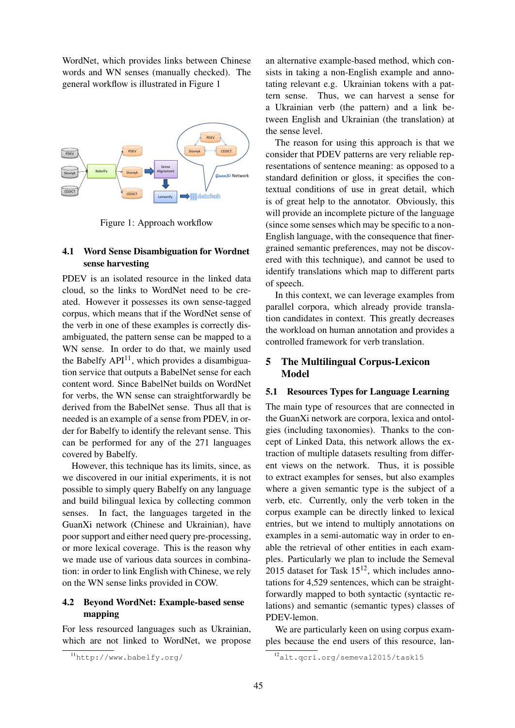WordNet, which provides links between Chinese words and WN senses (manually checked). The general workflow is illustrated in Figure 1



Figure 1: Approach workflow

## 4.1 Word Sense Disambiguation for Wordnet sense harvesting

PDEV is an isolated resource in the linked data cloud, so the links to WordNet need to be created. However it possesses its own sense-tagged corpus, which means that if the WordNet sense of the verb in one of these examples is correctly disambiguated, the pattern sense can be mapped to a WN sense. In order to do that, we mainly used the Babelfy  $API<sup>11</sup>$ , which provides a disambiguation service that outputs a BabelNet sense for each content word. Since BabelNet builds on WordNet for verbs, the WN sense can straightforwardly be derived from the BabelNet sense. Thus all that is needed is an example of a sense from PDEV, in order for Babelfy to identify the relevant sense. This can be performed for any of the 271 languages covered by Babelfy.

However, this technique has its limits, since, as we discovered in our initial experiments, it is not possible to simply query Babelfy on any language and build bilingual lexica by collecting common senses. In fact, the languages targeted in the GuanXi network (Chinese and Ukrainian), have poor support and either need query pre-processing, or more lexical coverage. This is the reason why we made use of various data sources in combination: in order to link English with Chinese, we rely on the WN sense links provided in COW.

## 4.2 Beyond WordNet: Example-based sense mapping

For less resourced languages such as Ukrainian, which are not linked to WordNet, we propose

an alternative example-based method, which consists in taking a non-English example and annotating relevant e.g. Ukrainian tokens with a pattern sense. Thus, we can harvest a sense for a Ukrainian verb (the pattern) and a link between English and Ukrainian (the translation) at the sense level.

The reason for using this approach is that we consider that PDEV patterns are very reliable representations of sentence meaning: as opposed to a standard definition or gloss, it specifies the contextual conditions of use in great detail, which is of great help to the annotator. Obviously, this will provide an incomplete picture of the language (since some senses which may be specific to a non-English language, with the consequence that finergrained semantic preferences, may not be discovered with this technique), and cannot be used to identify translations which map to different parts of speech.

In this context, we can leverage examples from parallel corpora, which already provide translation candidates in context. This greatly decreases the workload on human annotation and provides a controlled framework for verb translation.

## 5 The Multilingual Corpus-Lexicon Model

#### 5.1 Resources Types for Language Learning

The main type of resources that are connected in the GuanXi network are corpora, lexica and ontolgies (including taxonomies). Thanks to the concept of Linked Data, this network allows the extraction of multiple datasets resulting from different views on the network. Thus, it is possible to extract examples for senses, but also examples where a given semantic type is the subject of a verb, etc. Currently, only the verb token in the corpus example can be directly linked to lexical entries, but we intend to multiply annotations on examples in a semi-automatic way in order to enable the retrieval of other entities in each examples. Particularly we plan to include the Semeval 2015 dataset for Task  $15^{12}$ , which includes annotations for 4,529 sentences, which can be straightforwardly mapped to both syntactic (syntactic relations) and semantic (semantic types) classes of PDEV-lemon.

We are particularly keen on using corpus examples because the end users of this resource, lan-

<sup>11</sup>http://www.babelfy.org/

<sup>12</sup>alt.qcri.org/semeval2015/task15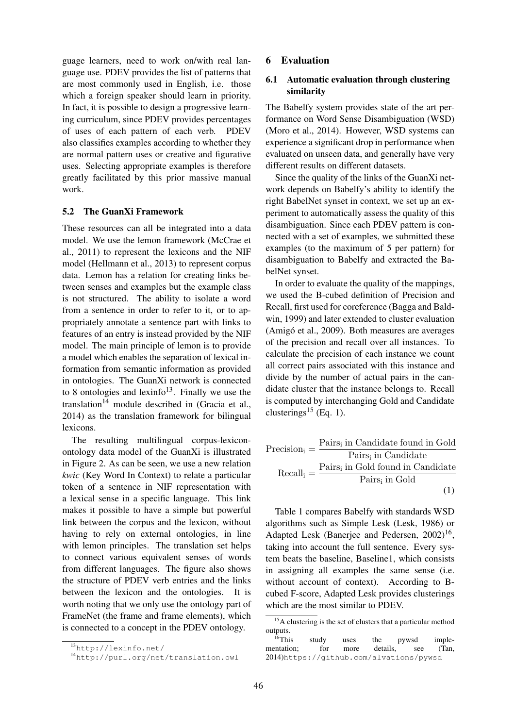guage learners, need to work on/with real language use. PDEV provides the list of patterns that are most commonly used in English, i.e. those which a foreign speaker should learn in priority. In fact, it is possible to design a progressive learning curriculum, since PDEV provides percentages of uses of each pattern of each verb. PDEV also classifies examples according to whether they are normal pattern uses or creative and figurative uses. Selecting appropriate examples is therefore greatly facilitated by this prior massive manual work.

#### 5.2 The GuanXi Framework

These resources can all be integrated into a data model. We use the lemon framework (McCrae et al., 2011) to represent the lexicons and the NIF model (Hellmann et al., 2013) to represent corpus data. Lemon has a relation for creating links between senses and examples but the example class is not structured. The ability to isolate a word from a sentence in order to refer to it, or to appropriately annotate a sentence part with links to features of an entry is instead provided by the NIF model. The main principle of lemon is to provide a model which enables the separation of lexical information from semantic information as provided in ontologies. The GuanXi network is connected to 8 ontologies and lexinfo<sup>13</sup>. Finally we use the translation<sup>14</sup> module described in (Gracia et al., 2014) as the translation framework for bilingual lexicons.

The resulting multilingual corpus-lexiconontology data model of the GuanXi is illustrated in Figure 2. As can be seen, we use a new relation *kwic* (Key Word In Context) to relate a particular token of a sentence in NIF representation with a lexical sense in a specific language. This link makes it possible to have a simple but powerful link between the corpus and the lexicon, without having to rely on external ontologies, in line with lemon principles. The translation set helps to connect various equivalent senses of words from different languages. The figure also shows the structure of PDEV verb entries and the links between the lexicon and the ontologies. It is worth noting that we only use the ontology part of FrameNet (the frame and frame elements), which is connected to a concept in the PDEV ontology.

#### 6 Evaluation

### 6.1 Automatic evaluation through clustering similarity

The Babelfy system provides state of the art performance on Word Sense Disambiguation (WSD) (Moro et al., 2014). However, WSD systems can experience a significant drop in performance when evaluated on unseen data, and generally have very different results on different datasets.

Since the quality of the links of the GuanXi network depends on Babelfy's ability to identify the right BabelNet synset in context, we set up an experiment to automatically assess the quality of this disambiguation. Since each PDEV pattern is connected with a set of examples, we submitted these examples (to the maximum of 5 per pattern) for disambiguation to Babelfy and extracted the BabelNet synset.

In order to evaluate the quality of the mappings, we used the B-cubed definition of Precision and Recall, first used for coreference (Bagga and Baldwin, 1999) and later extended to cluster evaluation (Amigó et al., 2009). Both measures are averages of the precision and recall over all instances. To calculate the precision of each instance we count all correct pairs associated with this instance and divide by the number of actual pairs in the candidate cluster that the instance belongs to. Recall is computed by interchanging Gold and Candidate clusterings<sup>15</sup> (Eq. 1).

| $Precision_i = -$ | Pairs <sub>i</sub> in Candidate found in Gold |
|-------------------|-----------------------------------------------|
|                   | Pairs, in Candidate                           |
| $Recall_i = -$    | Pairs, in Gold found in Candidate             |
|                   | Pairs <sub>i</sub> in Gold                    |
|                   | (1)                                           |

Table 1 compares Babelfy with standards WSD algorithms such as Simple Lesk (Lesk, 1986) or Adapted Lesk (Banerjee and Pedersen, 2002)<sup>16</sup>, taking into account the full sentence. Every system beats the baseline, Baseline1, which consists in assigning all examples the same sense (i.e. without account of context). According to Bcubed F-score, Adapted Lesk provides clusterings which are the most similar to PDEV.

<sup>13</sup>http://lexinfo.net/

<sup>14</sup>http://purl.org/net/translation.owl

<sup>&</sup>lt;sup>15</sup>A clustering is the set of clusters that a particular method outputs.<br><sup>16</sup>This

study uses the pywsd imple-<br>for more details, see (Tan, mentation; for more details, see (Tan, 2014)https://github.com/alvations/pywsd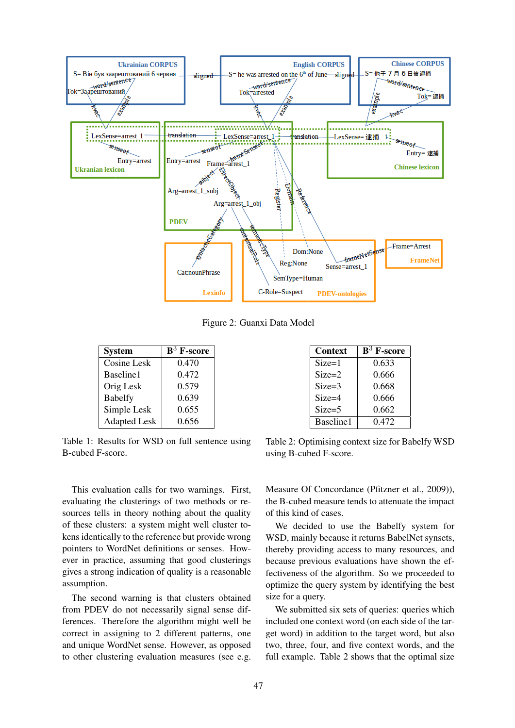

Figure 2: Guanxi Data Model

| <b>System</b>       | $\mathbf{B}^3$ F-score |
|---------------------|------------------------|
| Cosine Lesk         | 0.470                  |
| Baseline1           | 0.472                  |
| Orig Lesk           | 0.579                  |
| <b>Babelfy</b>      | 0.639                  |
| Simple Lesk         | 0.655                  |
| <b>Adapted Lesk</b> | 0.656                  |

Table 1: Results for WSD on full sentence using B-cubed F-score.

This evaluation calls for two warnings. First, evaluating the clusterings of two methods or resources tells in theory nothing about the quality of these clusters: a system might well cluster tokens identically to the reference but provide wrong pointers to WordNet definitions or senses. However in practice, assuming that good clusterings gives a strong indication of quality is a reasonable assumption.

The second warning is that clusters obtained from PDEV do not necessarily signal sense differences. Therefore the algorithm might well be correct in assigning to 2 different patterns, one and unique WordNet sense. However, as opposed to other clustering evaluation measures (see e.g.

| Context    | $\mathbf{B}^3$ F-score |
|------------|------------------------|
| $Size=1$   | 0.633                  |
| $Size = 2$ | 0.666                  |
| $Size = 3$ | 0.668                  |
| $Size = 4$ | 0.666                  |
| $Size = 5$ | 0.662                  |
| Baseline1  | 0.472                  |

Table 2: Optimising context size for Babelfy WSD using B-cubed F-score.

Measure Of Concordance (Pfitzner et al., 2009)), the B-cubed measure tends to attenuate the impact of this kind of cases.

We decided to use the Babelfy system for WSD, mainly because it returns BabelNet synsets, thereby providing access to many resources, and because previous evaluations have shown the effectiveness of the algorithm. So we proceeded to optimize the query system by identifying the best size for a query.

We submitted six sets of queries: queries which included one context word (on each side of the target word) in addition to the target word, but also two, three, four, and five context words, and the full example. Table 2 shows that the optimal size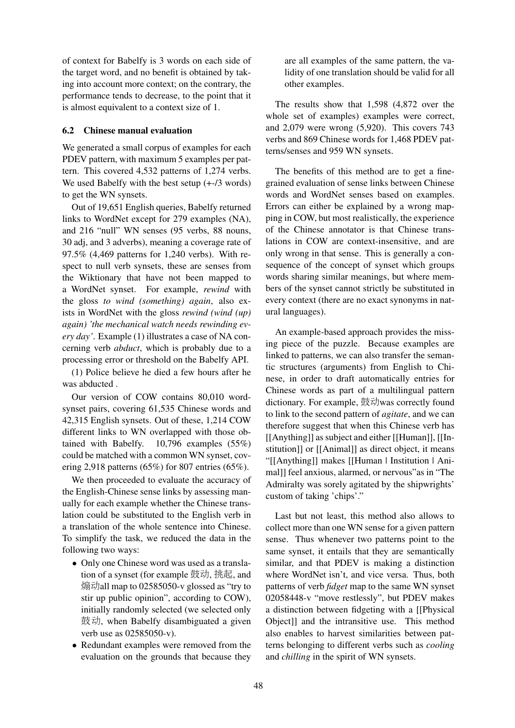of context for Babelfy is 3 words on each side of the target word, and no benefit is obtained by taking into account more context; on the contrary, the performance tends to decrease, to the point that it is almost equivalent to a context size of 1.

### 6.2 Chinese manual evaluation

We generated a small corpus of examples for each PDEV pattern, with maximum 5 examples per pattern. This covered 4,532 patterns of 1,274 verbs. We used Babelfy with the best setup  $(+\text{-}73$  words) to get the WN synsets.

Out of 19,651 English queries, Babelfy returned links to WordNet except for 279 examples (NA), and 216 "null" WN senses (95 verbs, 88 nouns, 30 adj, and 3 adverbs), meaning a coverage rate of 97.5% (4,469 patterns for 1,240 verbs). With respect to null verb synsets, these are senses from the Wiktionary that have not been mapped to a WordNet synset. For example, *rewind* with the gloss *to wind (something) again*, also exists in WordNet with the gloss *rewind (wind (up) again) 'the mechanical watch needs rewinding every day'*. Example (1) illustrates a case of NA concerning verb *abduct*, which is probably due to a processing error or threshold on the Babelfy API.

(1) Police believe he died a few hours after he was abducted .

Our version of COW contains 80,010 wordsynset pairs, covering 61,535 Chinese words and 42,315 English synsets. Out of these, 1,214 COW different links to WN overlapped with those obtained with Babelfy. 10,796 examples (55%) could be matched with a common WN synset, covering 2,918 patterns (65%) for 807 entries (65%).

We then proceeded to evaluate the accuracy of the English-Chinese sense links by assessing manually for each example whether the Chinese translation could be substituted to the English verb in a translation of the whole sentence into Chinese. To simplify the task, we reduced the data in the following two ways:

- Only one Chinese word was used as a translation of a synset (for example 鼓动, 挑起, and 煽动all map to 02585050-v glossed as "try to stir up public opinion", according to COW), initially randomly selected (we selected only 鼓动, when Babelfy disambiguated a given verb use as 02585050-v).
- Redundant examples were removed from the evaluation on the grounds that because they

are all examples of the same pattern, the validity of one translation should be valid for all other examples.

The results show that 1,598 (4,872 over the whole set of examples) examples were correct, and 2,079 were wrong (5,920). This covers 743 verbs and 869 Chinese words for 1,468 PDEV patterns/senses and 959 WN synsets.

The benefits of this method are to get a finegrained evaluation of sense links between Chinese words and WordNet senses based on examples. Errors can either be explained by a wrong mapping in COW, but most realistically, the experience of the Chinese annotator is that Chinese translations in COW are context-insensitive, and are only wrong in that sense. This is generally a consequence of the concept of synset which groups words sharing similar meanings, but where members of the synset cannot strictly be substituted in every context (there are no exact synonyms in natural languages).

An example-based approach provides the missing piece of the puzzle. Because examples are linked to patterns, we can also transfer the semantic structures (arguments) from English to Chinese, in order to draft automatically entries for Chinese words as part of a multilingual pattern dictionary. For example, 鼓动was correctly found to link to the second pattern of *agitate*, and we can therefore suggest that when this Chinese verb has [[Anything]] as subject and either [[Human]], [[Institution]] or [[Animal]] as direct object, it means "[[Anything]] makes [[Human | Institution | Animal]] feel anxious, alarmed, or nervous"as in "The Admiralty was sorely agitated by the shipwrights' custom of taking 'chips'."

Last but not least, this method also allows to collect more than one WN sense for a given pattern sense. Thus whenever two patterns point to the same synset, it entails that they are semantically similar, and that PDEV is making a distinction where WordNet isn't, and vice versa. Thus, both patterns of verb *fidget* map to the same WN synset 02058448-v "move restlessly", but PDEV makes a distinction between fidgeting with a [[Physical Object]] and the intransitive use. This method also enables to harvest similarities between patterns belonging to different verbs such as *cooling* and *chilling* in the spirit of WN synsets.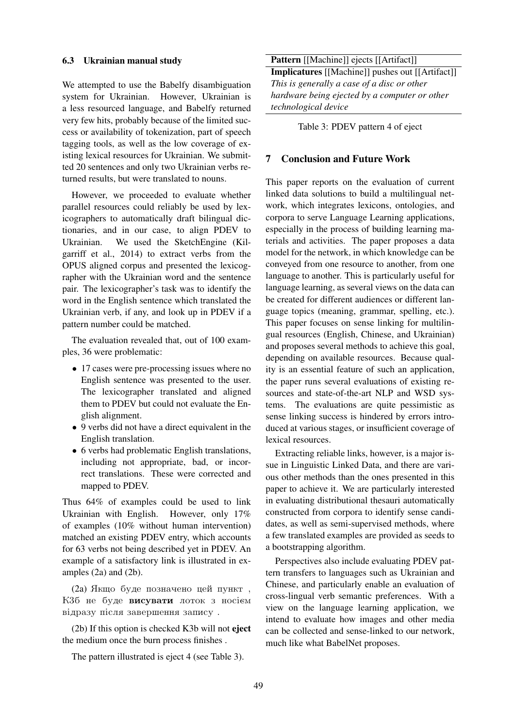#### 6.3 Ukrainian manual study

We attempted to use the Babelfy disambiguation system for Ukrainian. However, Ukrainian is a less resourced language, and Babelfy returned very few hits, probably because of the limited success or availability of tokenization, part of speech tagging tools, as well as the low coverage of existing lexical resources for Ukrainian. We submitted 20 sentences and only two Ukrainian verbs returned results, but were translated to nouns.

However, we proceeded to evaluate whether parallel resources could reliably be used by lexicographers to automatically draft bilingual dictionaries, and in our case, to align PDEV to Ukrainian. We used the SketchEngine (Kilgarriff et al., 2014) to extract verbs from the OPUS aligned corpus and presented the lexicographer with the Ukrainian word and the sentence pair. The lexicographer's task was to identify the word in the English sentence which translated the Ukrainian verb, if any, and look up in PDEV if a pattern number could be matched.

The evaluation revealed that, out of 100 examples, 36 were problematic:

- 17 cases were pre-processing issues where no English sentence was presented to the user. The lexicographer translated and aligned them to PDEV but could not evaluate the English alignment.
- 9 verbs did not have a direct equivalent in the English translation.
- 6 verbs had problematic English translations, including not appropriate, bad, or incorrect translations. These were corrected and mapped to PDEV.

Thus 64% of examples could be used to link Ukrainian with English. However, only 17% of examples (10% without human intervention) matched an existing PDEV entry, which accounts for 63 verbs not being described yet in PDEV. An example of a satisfactory link is illustrated in examples (2a) and (2b).

(2a) Якщо буде позначено цей пункт, КЗб не буде висувати лоток з носієм відразу після завершення запису.

(2b) If this option is checked K3b will not eject the medium once the burn process finishes .

The pattern illustrated is eject 4 (see Table 3).

Pattern [[Machine]] ejects [[Artifact]] Implicatures [[Machine]] pushes out [[Artifact]] *This is generally a case of a disc or other hardware being ejected by a computer or other technological device*

Table 3: PDEV pattern 4 of eject

## 7 Conclusion and Future Work

This paper reports on the evaluation of current linked data solutions to build a multilingual network, which integrates lexicons, ontologies, and corpora to serve Language Learning applications, especially in the process of building learning materials and activities. The paper proposes a data model for the network, in which knowledge can be conveyed from one resource to another, from one language to another. This is particularly useful for language learning, as several views on the data can be created for different audiences or different language topics (meaning, grammar, spelling, etc.). This paper focuses on sense linking for multilingual resources (English, Chinese, and Ukrainian) and proposes several methods to achieve this goal, depending on available resources. Because quality is an essential feature of such an application, the paper runs several evaluations of existing resources and state-of-the-art NLP and WSD systems. The evaluations are quite pessimistic as sense linking success is hindered by errors introduced at various stages, or insufficient coverage of lexical resources.

Extracting reliable links, however, is a major issue in Linguistic Linked Data, and there are various other methods than the ones presented in this paper to achieve it. We are particularly interested in evaluating distributional thesauri automatically constructed from corpora to identify sense candidates, as well as semi-supervised methods, where a few translated examples are provided as seeds to a bootstrapping algorithm.

Perspectives also include evaluating PDEV pattern transfers to languages such as Ukrainian and Chinese, and particularly enable an evaluation of cross-lingual verb semantic preferences. With a view on the language learning application, we intend to evaluate how images and other media can be collected and sense-linked to our network, much like what BabelNet proposes.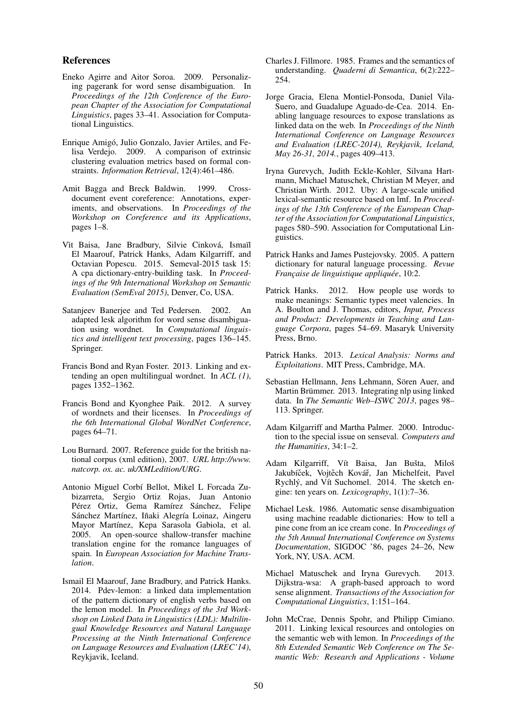#### References

- Eneko Agirre and Aitor Soroa. 2009. Personalizing pagerank for word sense disambiguation. In *Proceedings of the 12th Conference of the European Chapter of the Association for Computational Linguistics*, pages 33–41. Association for Computational Linguistics.
- Enrique Amigó, Julio Gonzalo, Javier Artiles, and Felisa Verdejo. 2009. A comparison of extrinsic clustering evaluation metrics based on formal constraints. *Information Retrieval*, 12(4):461–486.
- Amit Bagga and Breck Baldwin. 1999. Crossdocument event coreference: Annotations, experiments, and observations. In *Proceedings of the Workshop on Coreference and its Applications*, pages 1–8.
- Vìt Baisa, Jane Bradbury, Silvie Cinková, Ismaïl El Maarouf, Patrick Hanks, Adam Kilgarriff, and Octavian Popescu. 2015. Semeval-2015 task 15: A cpa dictionary-entry-building task. In *Proceedings of the 9th International Workshop on Semantic Evaluation (SemEval 2015)*, Denver, Co, USA.
- Satanjeev Banerjee and Ted Pedersen. 2002. An adapted lesk algorithm for word sense disambiguation using wordnet. In *Computational linguistics and intelligent text processing*, pages 136–145. Springer.
- Francis Bond and Ryan Foster. 2013. Linking and extending an open multilingual wordnet. In *ACL (1)*, pages 1352–1362.
- Francis Bond and Kyonghee Paik. 2012. A survey of wordnets and their licenses. In *Proceedings of the 6th International Global WordNet Conference*, pages 64–71.
- Lou Burnard. 2007. Reference guide for the british national corpus (xml edition), 2007. *URL http://www. natcorp. ox. ac. uk/XMLedition/URG*.
- Antonio Miguel Corbí Bellot, Mikel L Forcada Zubizarreta, Sergio Ortiz Rojas, Juan Antonio Pérez Ortiz, Gema Ramírez Sánchez, Felipe Sánchez Martínez, Iñaki Alegría Loinaz, Aingeru Mayor Martínez, Kepa Sarasola Gabiola, et al. 2005. An open-source shallow-transfer machine translation engine for the romance languages of spain. In *European Association for Machine Translation*.
- Ismail El Maarouf, Jane Bradbury, and Patrick Hanks. 2014. Pdev-lemon: a linked data implementation of the pattern dictionary of english verbs based on the lemon model. In *Proceedings of the 3rd Workshop on Linked Data in Linguistics (LDL): Multilingual Knowledge Resources and Natural Language Processing at the Ninth International Conference on Language Resources and Evaluation (LREC'14)*, Reykjavik, Iceland.
- Charles J. Fillmore. 1985. Frames and the semantics of understanding. *Quaderni di Semantica*, 6(2):222– 254.
- Jorge Gracia, Elena Montiel-Ponsoda, Daniel Vila-Suero, and Guadalupe Aguado-de-Cea. 2014. Enabling language resources to expose translations as linked data on the web. In *Proceedings of the Ninth International Conference on Language Resources and Evaluation (LREC-2014), Reykjavik, Iceland, May 26-31, 2014.*, pages 409–413.
- Iryna Gurevych, Judith Eckle-Kohler, Silvana Hartmann, Michael Matuschek, Christian M Meyer, and Christian Wirth. 2012. Uby: A large-scale unified lexical-semantic resource based on lmf. In *Proceedings of the 13th Conference of the European Chapter of the Association for Computational Linguistics*, pages 580–590. Association for Computational Linguistics.
- Patrick Hanks and James Pustejovsky. 2005. A pattern dictionary for natural language processing. *Revue Française de linguistique appliquée*, 10:2.
- Patrick Hanks. 2012. How people use words to make meanings: Semantic types meet valencies. In A. Boulton and J. Thomas, editors, *Input, Process and Product: Developments in Teaching and Language Corpora*, pages 54–69. Masaryk University Press, Brno.
- Patrick Hanks. 2013. *Lexical Analysis: Norms and Exploitations*. MIT Press, Cambridge, MA.
- Sebastian Hellmann, Jens Lehmann, Sören Auer, and Martin Brümmer. 2013. Integrating nlp using linked data. In *The Semantic Web–ISWC 2013*, pages 98– 113. Springer.
- Adam Kilgarriff and Martha Palmer. 2000. Introduction to the special issue on senseval. *Computers and the Humanities*, 34:1–2.
- Adam Kilgarriff, Vít Baisa, Jan Bušta, Miloš Jakubíček, Vojtěch Kovář, Jan Michelfeit, Pavel Rychlý, and Vít Suchomel. 2014. The sketch engine: ten years on. *Lexicography*, 1(1):7–36.
- Michael Lesk. 1986. Automatic sense disambiguation using machine readable dictionaries: How to tell a pine cone from an ice cream cone. In *Proceedings of the 5th Annual International Conference on Systems Documentation*, SIGDOC '86, pages 24–26, New York, NY, USA. ACM.
- Michael Matuschek and Iryna Gurevych. 2013. Dijkstra-wsa: A graph-based approach to word sense alignment. *Transactions of the Association for Computational Linguistics*, 1:151–164.
- John McCrae, Dennis Spohr, and Philipp Cimiano. 2011. Linking lexical resources and ontologies on the semantic web with lemon. In *Proceedings of the 8th Extended Semantic Web Conference on The Semantic Web: Research and Applications - Volume*